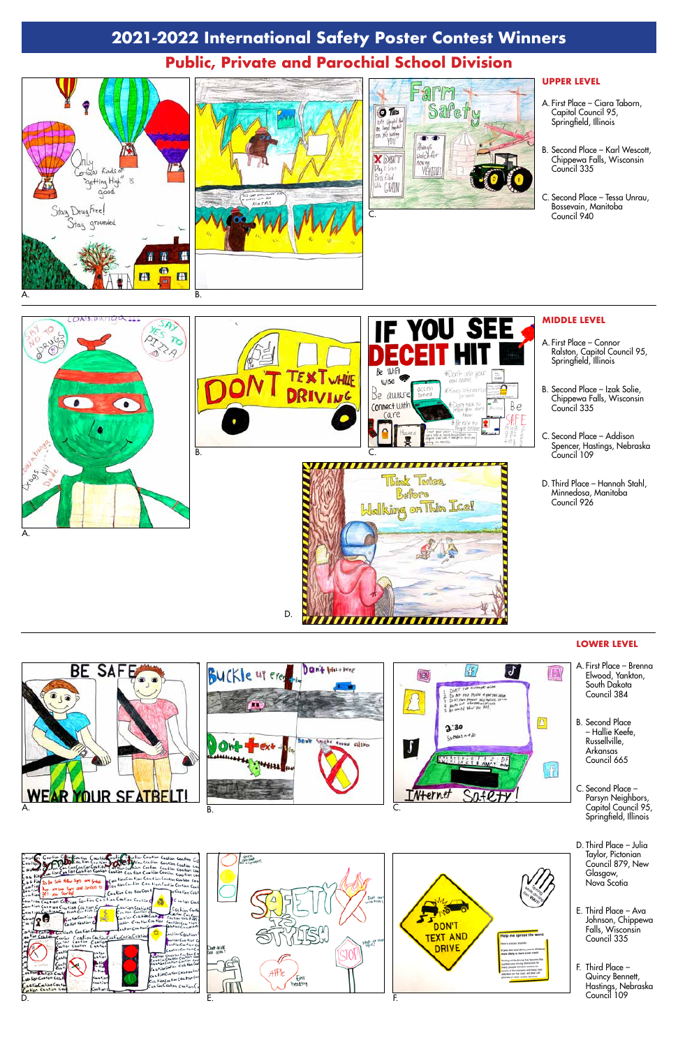# **2021-2022 International Safety Poster Contest Winners**

### **UPPER LEVEL**

- A. First Place Ciara Taborn, Capitol Council 95, Springfield, Illinois
- B. Second Place Karl Wescott, Chippewa Falls, Wisconsin Council 335
- C. Second Place Tessa Unrau, Bossevain, Manitoba Council 940

#### **MIDDLE LEVEL**

- A. First Place Connor Ralston, Capitol Council 95, Springfield, Illinois
- B. Second Place Izak Solie, Chippewa Falls, Wisconsin Council 335
- C. Second Place Addison Spencer, Hastings, Nebraska Council 109
- D. Third Place Hannah Stahl, Minnedosa, Manitoba Council 926

### **LOWER LEVEL**



,,,,,,,,,,,,,,,,,,



# **Public, Private and Parochial School Division**









D.